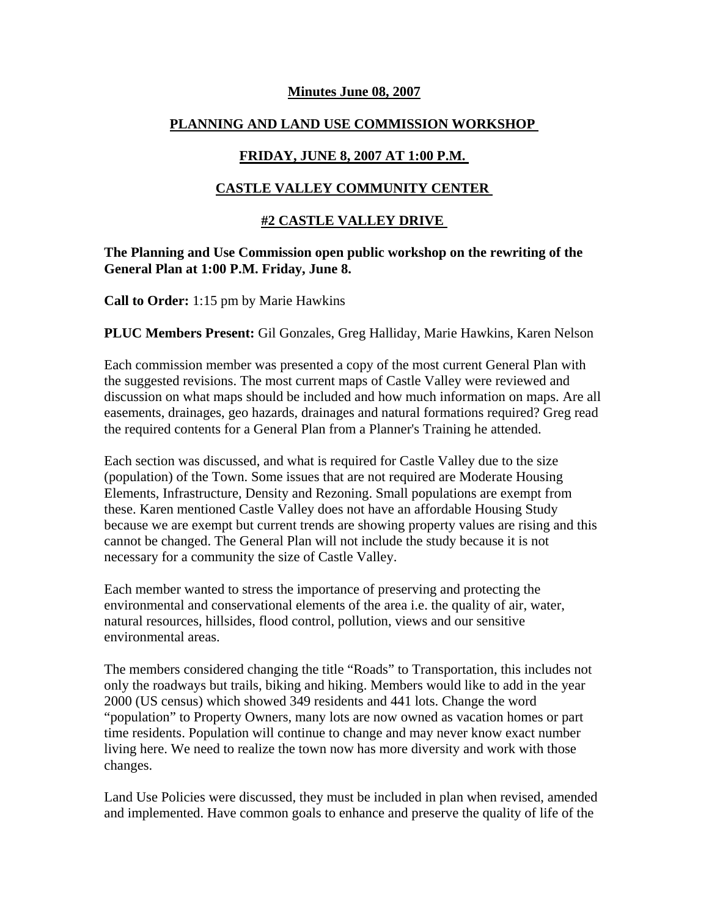### **Minutes June 08, 2007**

## **PLANNING AND LAND USE COMMISSION WORKSHOP**

# **FRIDAY, JUNE 8, 2007 AT 1:00 P.M.**

## **CASTLE VALLEY COMMUNITY CENTER**

## **#2 CASTLE VALLEY DRIVE**

### **The Planning and Use Commission open public workshop on the rewriting of the General Plan at 1:00 P.M. Friday, June 8.**

**Call to Order:** 1:15 pm by Marie Hawkins

### **PLUC Members Present:** Gil Gonzales, Greg Halliday, Marie Hawkins, Karen Nelson

Each commission member was presented a copy of the most current General Plan with the suggested revisions. The most current maps of Castle Valley were reviewed and discussion on what maps should be included and how much information on maps. Are all easements, drainages, geo hazards, drainages and natural formations required? Greg read the required contents for a General Plan from a Planner's Training he attended.

Each section was discussed, and what is required for Castle Valley due to the size (population) of the Town. Some issues that are not required are Moderate Housing Elements, Infrastructure, Density and Rezoning. Small populations are exempt from these. Karen mentioned Castle Valley does not have an affordable Housing Study because we are exempt but current trends are showing property values are rising and this cannot be changed. The General Plan will not include the study because it is not necessary for a community the size of Castle Valley.

Each member wanted to stress the importance of preserving and protecting the environmental and conservational elements of the area i.e. the quality of air, water, natural resources, hillsides, flood control, pollution, views and our sensitive environmental areas.

The members considered changing the title "Roads" to Transportation, this includes not only the roadways but trails, biking and hiking. Members would like to add in the year 2000 (US census) which showed 349 residents and 441 lots. Change the word "population" to Property Owners, many lots are now owned as vacation homes or part time residents. Population will continue to change and may never know exact number living here. We need to realize the town now has more diversity and work with those changes.

Land Use Policies were discussed, they must be included in plan when revised, amended and implemented. Have common goals to enhance and preserve the quality of life of the